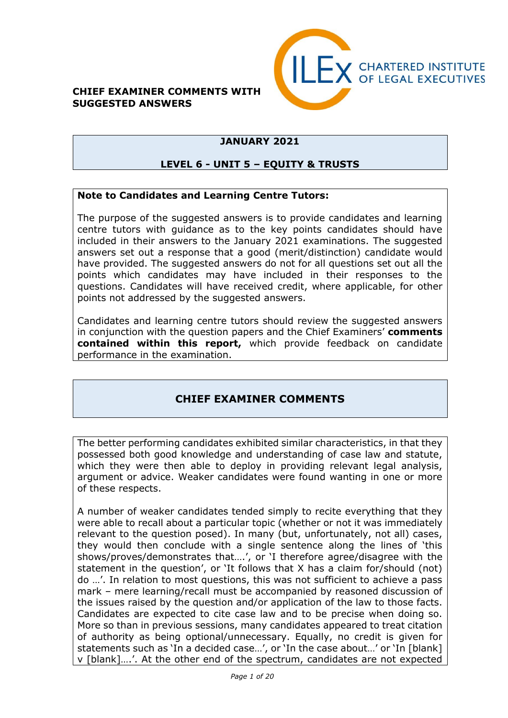#### **CHIEF EXAMINER COMMENTS WITH SUGGESTED ANSWERS**



### **JANUARY 2021**

#### **LEVEL 6 - UNIT 5 – EQUITY & TRUSTS**

#### **Note to Candidates and Learning Centre Tutors:**

The purpose of the suggested answers is to provide candidates and learning centre tutors with guidance as to the key points candidates should have included in their answers to the January 2021 examinations. The suggested answers set out a response that a good (merit/distinction) candidate would have provided. The suggested answers do not for all questions set out all the points which candidates may have included in their responses to the questions. Candidates will have received credit, where applicable, for other points not addressed by the suggested answers.

Candidates and learning centre tutors should review the suggested answers in conjunction with the question papers and the Chief Examiners' **comments contained within this report,** which provide feedback on candidate performance in the examination.

## **CHIEF EXAMINER COMMENTS**

The better performing candidates exhibited similar characteristics, in that they possessed both good knowledge and understanding of case law and statute, which they were then able to deploy in providing relevant legal analysis, argument or advice. Weaker candidates were found wanting in one or more of these respects.

A number of weaker candidates tended simply to recite everything that they were able to recall about a particular topic (whether or not it was immediately relevant to the question posed). In many (but, unfortunately, not all) cases, they would then conclude with a single sentence along the lines of 'this shows/proves/demonstrates that….', or 'I therefore agree/disagree with the statement in the question', or 'It follows that X has a claim for/should (not) do …'. In relation to most questions, this was not sufficient to achieve a pass mark – mere learning/recall must be accompanied by reasoned discussion of the issues raised by the question and/or application of the law to those facts. Candidates are expected to cite case law and to be precise when doing so. More so than in previous sessions, many candidates appeared to treat citation of authority as being optional/unnecessary. Equally, no credit is given for statements such as 'In a decided case…', or 'In the case about…' or 'In [blank] v [blank]….'. At the other end of the spectrum, candidates are not expected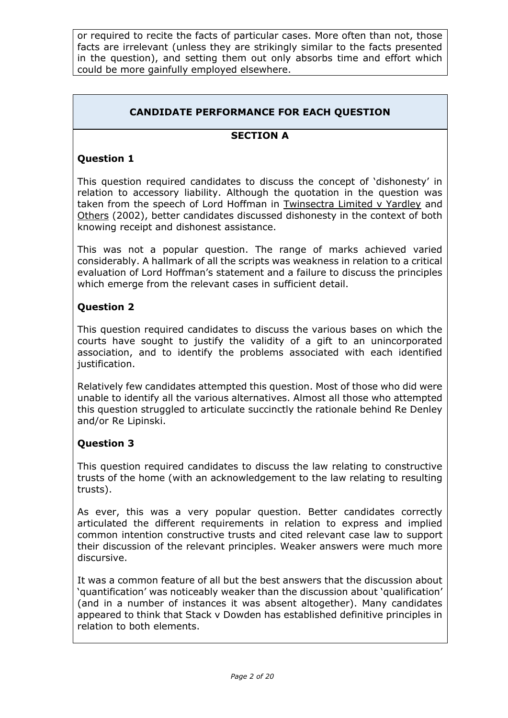or required to recite the facts of particular cases. More often than not, those facts are irrelevant (unless they are strikingly similar to the facts presented in the question), and setting them out only absorbs time and effort which could be more gainfully employed elsewhere.

## **CANDIDATE PERFORMANCE FOR EACH QUESTION**

#### **SECTION A**

#### **Question 1**

This question required candidates to discuss the concept of 'dishonesty' in relation to accessory liability. Although the quotation in the question was taken from the speech of Lord Hoffman in Twinsectra Limited v Yardley and Others (2002), better candidates discussed dishonesty in the context of both knowing receipt and dishonest assistance.

This was not a popular question. The range of marks achieved varied considerably. A hallmark of all the scripts was weakness in relation to a critical evaluation of Lord Hoffman's statement and a failure to discuss the principles which emerge from the relevant cases in sufficient detail.

#### **Question 2**

This question required candidates to discuss the various bases on which the courts have sought to justify the validity of a gift to an unincorporated association, and to identify the problems associated with each identified justification.

Relatively few candidates attempted this question. Most of those who did were unable to identify all the various alternatives. Almost all those who attempted this question struggled to articulate succinctly the rationale behind Re Denley and/or Re Lipinski.

#### **Question 3**

This question required candidates to discuss the law relating to constructive trusts of the home (with an acknowledgement to the law relating to resulting trusts).

As ever, this was a very popular question. Better candidates correctly articulated the different requirements in relation to express and implied common intention constructive trusts and cited relevant case law to support their discussion of the relevant principles. Weaker answers were much more discursive.

It was a common feature of all but the best answers that the discussion about 'quantification' was noticeably weaker than the discussion about 'qualification' (and in a number of instances it was absent altogether). Many candidates appeared to think that Stack v Dowden has established definitive principles in relation to both elements.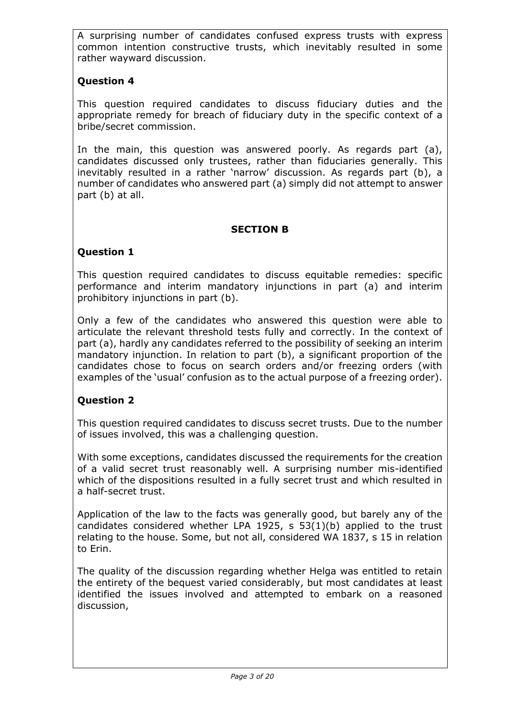A surprising number of candidates confused express trusts with express common intention constructive trusts, which inevitably resulted in some rather wayward discussion.

## **Question 4**

This question required candidates to discuss fiduciary duties and the appropriate remedy for breach of fiduciary duty in the specific context of a bribe/secret commission.

In the main, this question was answered poorly. As regards part (a), candidates discussed only trustees, rather than fiduciaries generally. This inevitably resulted in a rather 'narrow' discussion. As regards part (b), a number of candidates who answered part (a) simply did not attempt to answer part (b) at all.

## **SECTION B**

### **Question 1**

This question required candidates to discuss equitable remedies: specific performance and interim mandatory injunctions in part (a) and interim prohibitory injunctions in part (b).

Only a few of the candidates who answered this question were able to articulate the relevant threshold tests fully and correctly. In the context of part (a), hardly any candidates referred to the possibility of seeking an interim mandatory injunction. In relation to part (b), a significant proportion of the candidates chose to focus on search orders and/or freezing orders (with examples of the 'usual' confusion as to the actual purpose of a freezing order).

## **Question 2**

This question required candidates to discuss secret trusts. Due to the number of issues involved, this was a challenging question.

With some exceptions, candidates discussed the requirements for the creation of a valid secret trust reasonably well. A surprising number mis-identified which of the dispositions resulted in a fully secret trust and which resulted in a half-secret trust.

Application of the law to the facts was generally good, but barely any of the candidates considered whether LPA 1925, s 53(1)(b) applied to the trust relating to the house. Some, but not all, considered WA 1837, s 15 in relation to Erin.

The quality of the discussion regarding whether Helga was entitled to retain the entirety of the bequest varied considerably, but most candidates at least identified the issues involved and attempted to embark on a reasoned discussion,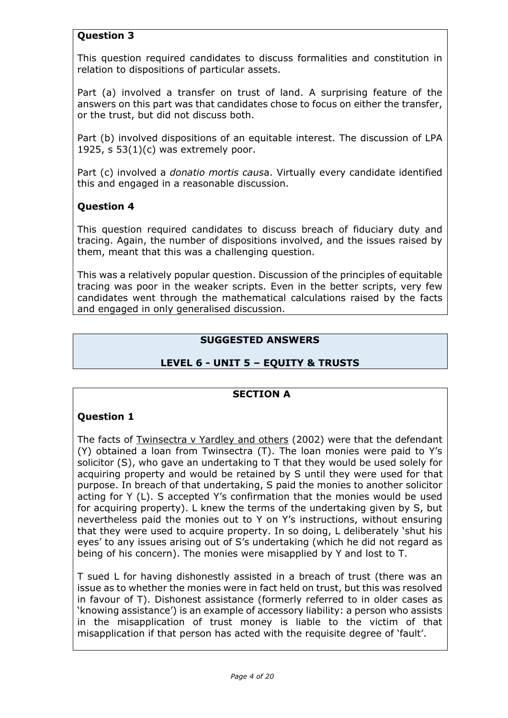## **Question 3**

This question required candidates to discuss formalities and constitution in relation to dispositions of particular assets.

Part (a) involved a transfer on trust of land. A surprising feature of the answers on this part was that candidates chose to focus on either the transfer, or the trust, but did not discuss both.

Part (b) involved dispositions of an equitable interest. The discussion of LPA 1925,  $s$  53(1)(c) was extremely poor.

Part (c) involved a *donatio mortis caus*a. Virtually every candidate identified this and engaged in a reasonable discussion.

## **Question 4**

This question required candidates to discuss breach of fiduciary duty and tracing. Again, the number of dispositions involved, and the issues raised by them, meant that this was a challenging question.

This was a relatively popular question. Discussion of the principles of equitable tracing was poor in the weaker scripts. Even in the better scripts, very few candidates went through the mathematical calculations raised by the facts and engaged in only generalised discussion.

### **SUGGESTED ANSWERS**

## **LEVEL 6 - UNIT 5 – EQUITY & TRUSTS**

#### **SECTION A**

## **Question 1**

The facts of Twinsectra v Yardley and others (2002) were that the defendant (Y) obtained a loan from Twinsectra (T). The loan monies were paid to Y's solicitor (S), who gave an undertaking to T that they would be used solely for acquiring property and would be retained by S until they were used for that purpose. In breach of that undertaking, S paid the monies to another solicitor acting for Y (L). S accepted Y's confirmation that the monies would be used for acquiring property). L knew the terms of the undertaking given by S, but nevertheless paid the monies out to Y on Y's instructions, without ensuring that they were used to acquire property. In so doing, L deliberately 'shut his eyes' to any issues arising out of S's undertaking (which he did not regard as being of his concern). The monies were misapplied by Y and lost to T.

T sued L for having dishonestly assisted in a breach of trust (there was an issue as to whether the monies were in fact held on trust, but this was resolved in favour of T). Dishonest assistance (formerly referred to in older cases as 'knowing assistance') is an example of accessory liability: a person who assists in the misapplication of trust money is liable to the victim of that misapplication if that person has acted with the requisite degree of 'fault'.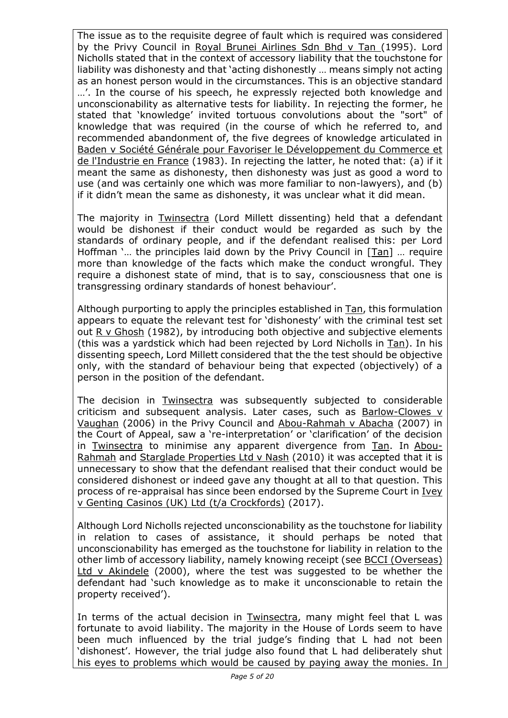The issue as to the requisite degree of fault which is required was considered by the Privy Council in Royal Brunei Airlines Sdn Bhd v Tan (1995). Lord Nicholls stated that in the context of accessory liability that the touchstone for liability was dishonesty and that 'acting dishonestly … means simply not acting as an honest person would in the circumstances. This is an objective standard …'. In the course of his speech, he expressly rejected both knowledge and unconscionability as alternative tests for liability. In rejecting the former, he stated that 'knowledge' invited tortuous convolutions about the "sort" of knowledge that was required (in the course of which he referred to, and recommended abandonment of, the five degrees of knowledge articulated in Baden v Société Générale pour Favoriser le Développement du Commerce et de l'Industrie en France (1983). In rejecting the latter, he noted that: (a) if it meant the same as dishonesty, then dishonesty was just as good a word to use (and was certainly one which was more familiar to non-lawyers), and (b) if it didn't mean the same as dishonesty, it was unclear what it did mean.

The majority in Twinsectra (Lord Millett dissenting) held that a defendant would be dishonest if their conduct would be regarded as such by the standards of ordinary people, and if the defendant realised this: per Lord Hoffman '… the principles laid down by the Privy Council in [Tan] … require more than knowledge of the facts which make the conduct wrongful. They require a dishonest state of mind, that is to say, consciousness that one is transgressing ordinary standards of honest behaviour'.

Although purporting to apply the principles established in Tan, this formulation appears to equate the relevant test for 'dishonesty' with the criminal test set out R v Ghosh (1982), by introducing both objective and subjective elements (this was a yardstick which had been rejected by Lord Nicholls in Tan). In his dissenting speech, Lord Millett considered that the the test should be objective only, with the standard of behaviour being that expected (objectively) of a person in the position of the defendant.

The decision in Twinsectra was subsequently subjected to considerable criticism and subsequent analysis. Later cases, such as  $Barlow-Clowes v$ Vaughan (2006) in the Privy Council and Abou-Rahmah v Abacha (2007) in the Court of Appeal, saw a 're-interpretation' or 'clarification' of the decision in Twinsectra to minimise any apparent divergence from Tan. In Abou-Rahmah and Starglade Properties Ltd v Nash (2010) it was accepted that it is unnecessary to show that the defendant realised that their conduct would be considered dishonest or indeed gave any thought at all to that question. This process of re-appraisal has since been endorsed by the Supreme Court in Ivey v Genting Casinos (UK) Ltd (t/a Crockfords) (2017).

Although Lord Nicholls rejected unconscionability as the touchstone for liability in relation to cases of assistance, it should perhaps be noted that unconscionability has emerged as the touchstone for liability in relation to the other limb of accessory liability, namely knowing receipt (see BCCI (Overseas) Ltd v Akindele (2000), where the test was suggested to be whether the defendant had 'such knowledge as to make it unconscionable to retain the property received').

In terms of the actual decision in Twinsectra, many might feel that L was fortunate to avoid liability. The majority in the House of Lords seem to have been much influenced by the trial judge's finding that L had not been 'dishonest'. However, the trial judge also found that L had deliberately shut his eyes to problems which would be caused by paying away the monies. In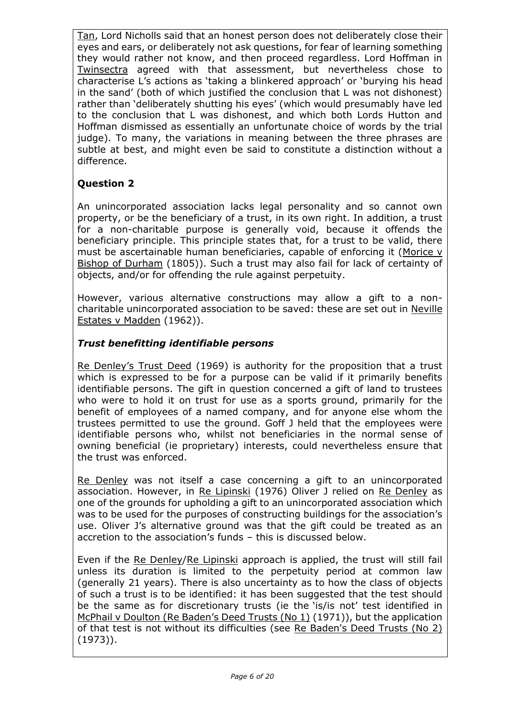Tan, Lord Nicholls said that an honest person does not deliberately close their eyes and ears, or deliberately not ask questions, for fear of learning something they would rather not know, and then proceed regardless. Lord Hoffman in Twinsectra agreed with that assessment, but nevertheless chose to characterise L's actions as 'taking a blinkered approach' or 'burying his head in the sand' (both of which justified the conclusion that L was not dishonest) rather than 'deliberately shutting his eyes' (which would presumably have led to the conclusion that L was dishonest, and which both Lords Hutton and Hoffman dismissed as essentially an unfortunate choice of words by the trial judge). To many, the variations in meaning between the three phrases are subtle at best, and might even be said to constitute a distinction without a difference.

## **Question 2**

An unincorporated association lacks legal personality and so cannot own property, or be the beneficiary of a trust, in its own right. In addition, a trust for a non-charitable purpose is generally void, because it offends the beneficiary principle. This principle states that, for a trust to be valid, there must be ascertainable human beneficiaries, capable of enforcing it (Morice v Bishop of Durham (1805)). Such a trust may also fail for lack of certainty of objects, and/or for offending the rule against perpetuity.

However, various alternative constructions may allow a gift to a noncharitable unincorporated association to be saved: these are set out in Neville Estates v Madden (1962)).

## *Trust benefitting identifiable persons*

Re Denley's Trust Deed (1969) is authority for the proposition that a trust which is expressed to be for a purpose can be valid if it primarily benefits identifiable persons. The gift in question concerned a gift of land to trustees who were to hold it on trust for use as a sports ground, primarily for the benefit of employees of a named company, and for anyone else whom the trustees permitted to use the ground. Goff J held that the employees were identifiable persons who, whilst not beneficiaries in the normal sense of owning beneficial (ie proprietary) interests, could nevertheless ensure that the trust was enforced.

Re Denley was not itself a case concerning a gift to an unincorporated association. However, in Re Lipinski (1976) Oliver J relied on Re Denley as one of the grounds for upholding a gift to an unincorporated association which was to be used for the purposes of constructing buildings for the association's use. Oliver J's alternative ground was that the gift could be treated as an accretion to the association's funds – this is discussed below.

Even if the Re Denley/Re Lipinski approach is applied, the trust will still fail unless its duration is limited to the perpetuity period at common law (generally 21 years). There is also uncertainty as to how the class of objects of such a trust is to be identified: it has been suggested that the test should be the same as for discretionary trusts (ie the 'is/is not' test identified in McPhail v Doulton (Re Baden's Deed Trusts (No 1) (1971)), but the application of that test is not without its difficulties (see Re Baden's Deed Trusts (No 2) (1973)).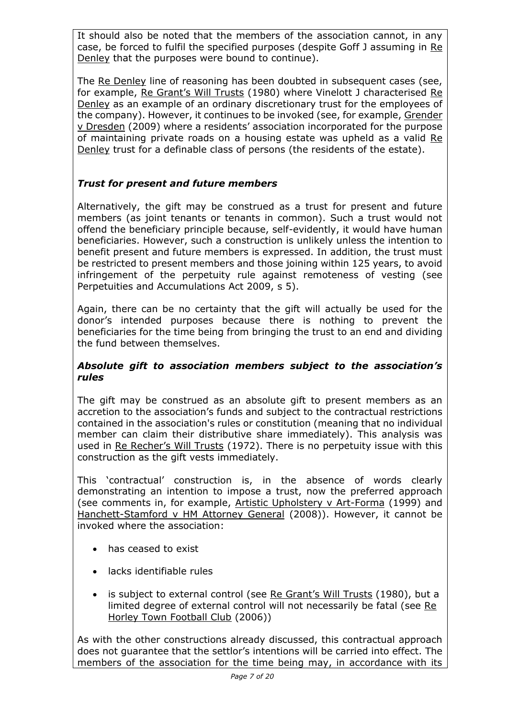It should also be noted that the members of the association cannot, in any case, be forced to fulfil the specified purposes (despite Goff J assuming in Re Denley that the purposes were bound to continue).

The Re Denley line of reasoning has been doubted in subsequent cases (see, for example, Re Grant's Will Trusts (1980) where Vinelott J characterised Re Denley as an example of an ordinary discretionary trust for the employees of the company). However, it continues to be invoked (see, for example, Grender v Dresden (2009) where a residents' association incorporated for the purpose of maintaining private roads on a housing estate was upheld as a valid Re Denley trust for a definable class of persons (the residents of the estate).

### *Trust for present and future members*

Alternatively, the gift may be construed as a trust for present and future members (as joint tenants or tenants in common). Such a trust would not offend the beneficiary principle because, self-evidently, it would have human beneficiaries. However, such a construction is unlikely unless the intention to benefit present and future members is expressed. In addition, the trust must be restricted to present members and those joining within 125 years, to avoid infringement of the perpetuity rule against remoteness of vesting (see Perpetuities and Accumulations Act 2009, s 5).

Again, there can be no certainty that the gift will actually be used for the donor's intended purposes because there is nothing to prevent the beneficiaries for the time being from bringing the trust to an end and dividing the fund between themselves.

#### *Absolute gift to association members subject to the association's rules*

The gift may be construed as an absolute gift to present members as an accretion to the association's funds and subject to the contractual restrictions contained in the association's rules or constitution (meaning that no individual member can claim their distributive share immediately). This analysis was used in Re Recher's Will Trusts (1972). There is no perpetuity issue with this construction as the gift vests immediately.

This 'contractual' construction is, in the absence of words clearly demonstrating an intention to impose a trust, now the preferred approach (see comments in, for example, Artistic Upholstery v Art-Forma (1999) and Hanchett-Stamford v HM Attorney General (2008)). However, it cannot be invoked where the association:

- has ceased to exist
- lacks identifiable rules
- is subject to external control (see Re Grant's Will Trusts (1980), but a limited degree of external control will not necessarily be fatal (see Re Horley Town Football Club (2006))

As with the other constructions already discussed, this contractual approach does not guarantee that the settlor's intentions will be carried into effect. The members of the association for the time being may, in accordance with its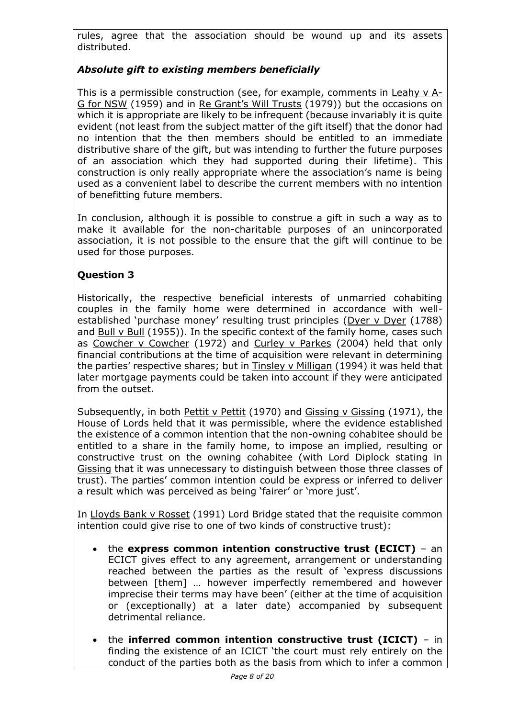rules, agree that the association should be wound up and its assets distributed.

## *Absolute gift to existing members beneficially*

This is a permissible construction (see, for example, comments in Leahy v A-G for NSW (1959) and in Re Grant's Will Trusts (1979)) but the occasions on which it is appropriate are likely to be infrequent (because invariably it is quite evident (not least from the subject matter of the gift itself) that the donor had no intention that the then members should be entitled to an immediate distributive share of the gift, but was intending to further the future purposes of an association which they had supported during their lifetime). This construction is only really appropriate where the association's name is being used as a convenient label to describe the current members with no intention of benefitting future members.

In conclusion, although it is possible to construe a gift in such a way as to make it available for the non-charitable purposes of an unincorporated association, it is not possible to the ensure that the gift will continue to be used for those purposes.

## **Question 3**

Historically, the respective beneficial interests of unmarried cohabiting couples in the family home were determined in accordance with wellestablished 'purchase money' resulting trust principles (Dyer v Dyer (1788) and Bull v Bull (1955)). In the specific context of the family home, cases such as Cowcher v Cowcher (1972) and Curley v Parkes (2004) held that only financial contributions at the time of acquisition were relevant in determining the parties' respective shares; but in Tinsley v Milligan (1994) it was held that later mortgage payments could be taken into account if they were anticipated from the outset.

Subsequently, in both Pettit v Pettit (1970) and Gissing v Gissing (1971), the House of Lords held that it was permissible, where the evidence established the existence of a common intention that the non-owning cohabitee should be entitled to a share in the family home, to impose an implied, resulting or constructive trust on the owning cohabitee (with Lord Diplock stating in Gissing that it was unnecessary to distinguish between those three classes of trust). The parties' common intention could be express or inferred to deliver a result which was perceived as being 'fairer' or 'more just'.

In Lloyds Bank v Rosset (1991) Lord Bridge stated that the requisite common intention could give rise to one of two kinds of constructive trust):

- the **express common intention constructive trust (ECICT)** an ECICT gives effect to any agreement, arrangement or understanding reached between the parties as the result of 'express discussions between [them] … however imperfectly remembered and however imprecise their terms may have been' (either at the time of acquisition or (exceptionally) at a later date) accompanied by subsequent detrimental reliance.
- the **inferred common intention constructive trust (ICICT)** in finding the existence of an ICICT 'the court must rely entirely on the conduct of the parties both as the basis from which to infer a common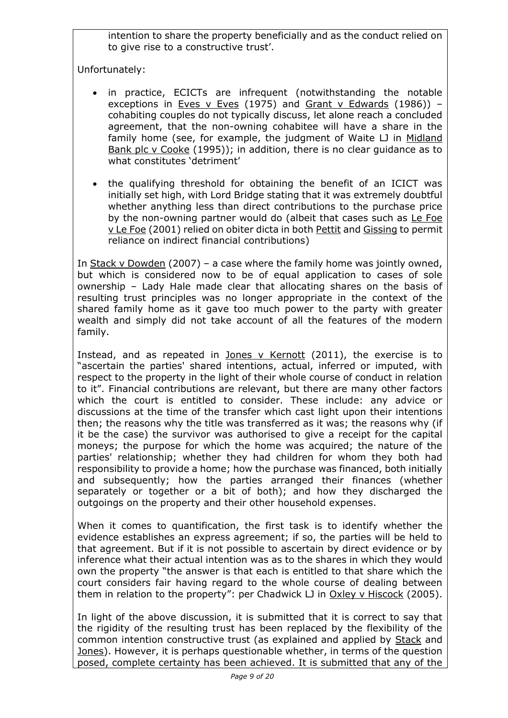intention to share the property beneficially and as the conduct relied on to give rise to a constructive trust'.

Unfortunately:

- in practice, ECICTs are infrequent (notwithstanding the notable exceptions in Eves v Eves (1975) and Grant v Edwards (1986)) cohabiting couples do not typically discuss, let alone reach a concluded agreement, that the non-owning cohabitee will have a share in the family home (see, for example, the judgment of Waite LJ in Midland Bank plc v Cooke (1995)); in addition, there is no clear guidance as to what constitutes 'detriment'
- the qualifying threshold for obtaining the benefit of an ICICT was initially set high, with Lord Bridge stating that it was extremely doubtful whether anything less than direct contributions to the purchase price by the non-owning partner would do (albeit that cases such as Le Foe v Le Foe (2001) relied on obiter dicta in both Pettit and Gissing to permit reliance on indirect financial contributions)

In Stack v Dowden (2007) – a case where the family home was jointly owned, but which is considered now to be of equal application to cases of sole ownership – Lady Hale made clear that allocating shares on the basis of resulting trust principles was no longer appropriate in the context of the shared family home as it gave too much power to the party with greater wealth and simply did not take account of all the features of the modern family.

Instead, and as repeated in Jones v Kernott (2011), the exercise is to "ascertain the parties' shared intentions, actual, inferred or imputed, with respect to the property in the light of their whole course of conduct in relation to it". Financial contributions are relevant, but there are many other factors which the court is entitled to consider. These include: any advice or discussions at the time of the transfer which cast light upon their intentions then; the reasons why the title was transferred as it was; the reasons why (if it be the case) the survivor was authorised to give a receipt for the capital moneys; the purpose for which the home was acquired; the nature of the parties' relationship; whether they had children for whom they both had responsibility to provide a home; how the purchase was financed, both initially and subsequently; how the parties arranged their finances (whether separately or together or a bit of both); and how they discharged the outgoings on the property and their other household expenses.

When it comes to quantification, the first task is to identify whether the evidence establishes an express agreement; if so, the parties will be held to that agreement. But if it is not possible to ascertain by direct evidence or by inference what their actual intention was as to the shares in which they would own the property "the answer is that each is entitled to that share which the court considers fair having regard to the whole course of dealing between them in relation to the property": per Chadwick LJ in Oxley v Hiscock (2005).

In light of the above discussion, it is submitted that it is correct to say that the rigidity of the resulting trust has been replaced by the flexibility of the common intention constructive trust (as explained and applied by Stack and Jones). However, it is perhaps questionable whether, in terms of the question posed, complete certainty has been achieved. It is submitted that any of the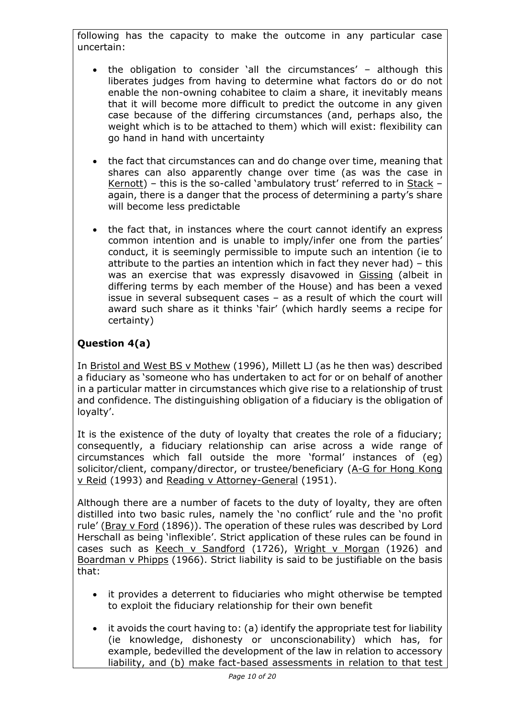following has the capacity to make the outcome in any particular case uncertain:

- the obligation to consider 'all the circumstances' although this liberates judges from having to determine what factors do or do not enable the non-owning cohabitee to claim a share, it inevitably means that it will become more difficult to predict the outcome in any given case because of the differing circumstances (and, perhaps also, the weight which is to be attached to them) which will exist: flexibility can go hand in hand with uncertainty
- the fact that circumstances can and do change over time, meaning that shares can also apparently change over time (as was the case in Kernott) – this is the so-called 'ambulatory trust' referred to in Stack – again, there is a danger that the process of determining a party's share will become less predictable
- the fact that, in instances where the court cannot identify an express common intention and is unable to imply/infer one from the parties' conduct, it is seemingly permissible to impute such an intention (ie to attribute to the parties an intention which in fact they never had) – this was an exercise that was expressly disavowed in Gissing (albeit in differing terms by each member of the House) and has been a vexed issue in several subsequent cases – as a result of which the court will award such share as it thinks 'fair' (which hardly seems a recipe for certainty)

# **Question 4(a)**

In Bristol and West BS v Mothew (1996), Millett LJ (as he then was) described a fiduciary as 'someone who has undertaken to act for or on behalf of another in a particular matter in circumstances which give rise to a relationship of trust and confidence. The distinguishing obligation of a fiduciary is the obligation of loyalty'.

It is the existence of the duty of loyalty that creates the role of a fiduciary; consequently, a fiduciary relationship can arise across a wide range of circumstances which fall outside the more 'formal' instances of (eg) solicitor/client, company/director, or trustee/beneficiary (A-G for Hong Kong v Reid (1993) and Reading v Attorney-General (1951).

Although there are a number of facets to the duty of loyalty, they are often distilled into two basic rules, namely the 'no conflict' rule and the 'no profit rule' (Bray v Ford (1896)). The operation of these rules was described by Lord Herschall as being 'inflexible'. Strict application of these rules can be found in cases such as Keech v Sandford (1726), Wright v Morgan (1926) and Boardman v Phipps (1966). Strict liability is said to be justifiable on the basis that:

- it provides a deterrent to fiduciaries who might otherwise be tempted to exploit the fiduciary relationship for their own benefit
- it avoids the court having to: (a) identify the appropriate test for liability (ie knowledge, dishonesty or unconscionability) which has, for example, bedevilled the development of the law in relation to accessory liability, and (b) make fact-based assessments in relation to that test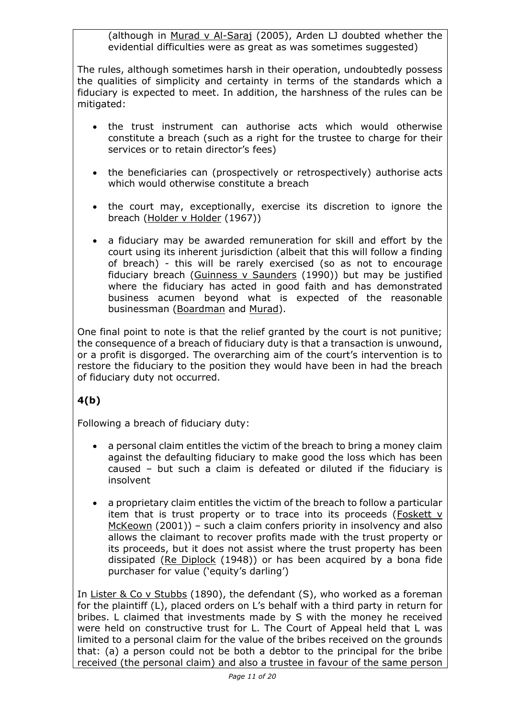(although in Murad v Al-Saraj (2005), Arden LJ doubted whether the evidential difficulties were as great as was sometimes suggested)

The rules, although sometimes harsh in their operation, undoubtedly possess the qualities of simplicity and certainty in terms of the standards which a fiduciary is expected to meet. In addition, the harshness of the rules can be mitigated:

- the trust instrument can authorise acts which would otherwise constitute a breach (such as a right for the trustee to charge for their services or to retain director's fees)
- the beneficiaries can (prospectively or retrospectively) authorise acts which would otherwise constitute a breach
- the court may, exceptionally, exercise its discretion to ignore the breach (Holder v Holder (1967))
- a fiduciary may be awarded remuneration for skill and effort by the court using its inherent jurisdiction (albeit that this will follow a finding of breach) - this will be rarely exercised (so as not to encourage fiduciary breach (Guinness v Saunders (1990)) but may be justified where the fiduciary has acted in good faith and has demonstrated business acumen beyond what is expected of the reasonable businessman (Boardman and Murad).

One final point to note is that the relief granted by the court is not punitive; the consequence of a breach of fiduciary duty is that a transaction is unwound, or a profit is disgorged. The overarching aim of the court's intervention is to restore the fiduciary to the position they would have been in had the breach of fiduciary duty not occurred.

# **4(b)**

Following a breach of fiduciary duty:

- a personal claim entitles the victim of the breach to bring a money claim against the defaulting fiduciary to make good the loss which has been caused – but such a claim is defeated or diluted if the fiduciary is insolvent
- a proprietary claim entitles the victim of the breach to follow a particular item that is trust property or to trace into its proceeds (Foskett v McKeown (2001)) – such a claim confers priority in insolvency and also allows the claimant to recover profits made with the trust property or its proceeds, but it does not assist where the trust property has been dissipated (Re Diplock (1948)) or has been acquired by a bona fide purchaser for value ('equity's darling')

In Lister & Co v Stubbs (1890), the defendant (S), who worked as a foreman for the plaintiff (L), placed orders on L's behalf with a third party in return for bribes. L claimed that investments made by S with the money he received were held on constructive trust for L. The Court of Appeal held that L was limited to a personal claim for the value of the bribes received on the grounds that: (a) a person could not be both a debtor to the principal for the bribe received (the personal claim) and also a trustee in favour of the same person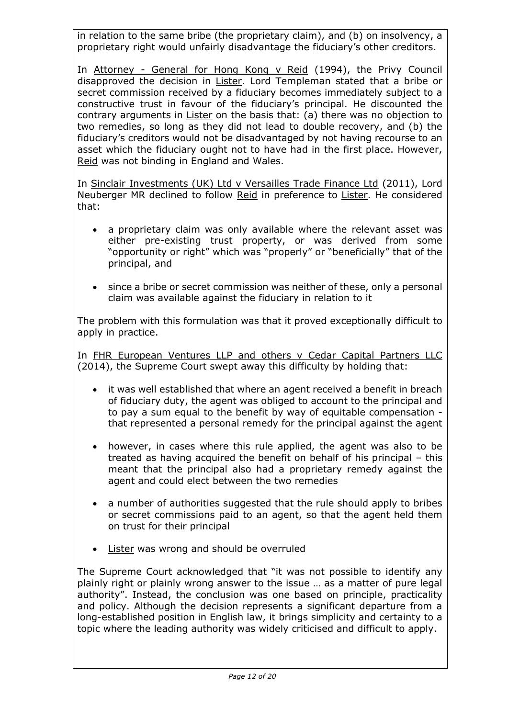in relation to the same bribe (the proprietary claim), and (b) on insolvency, a proprietary right would unfairly disadvantage the fiduciary's other creditors.

In Attorney - General for Hong Kong v Reid (1994), the Privy Council disapproved the decision in Lister. Lord Templeman stated that a bribe or secret commission received by a fiduciary becomes immediately subject to a constructive trust in favour of the fiduciary's principal. He discounted the contrary arguments in Lister on the basis that: (a) there was no objection to two remedies, so long as they did not lead to double recovery, and (b) the fiduciary's creditors would not be disadvantaged by not having recourse to an asset which the fiduciary ought not to have had in the first place. However, Reid was not binding in England and Wales.

In Sinclair Investments (UK) Ltd v Versailles Trade Finance Ltd (2011), Lord Neuberger MR declined to follow Reid in preference to Lister. He considered that:

- a proprietary claim was only available where the relevant asset was either pre-existing trust property, or was derived from some "opportunity or right" which was "properly" or "beneficially" that of the principal, and
- since a bribe or secret commission was neither of these, only a personal claim was available against the fiduciary in relation to it

The problem with this formulation was that it proved exceptionally difficult to apply in practice.

In FHR European Ventures LLP and others v Cedar Capital Partners LLC (2014), the Supreme Court swept away this difficulty by holding that:

- it was well established that where an agent received a benefit in breach of fiduciary duty, the agent was obliged to account to the principal and to pay a sum equal to the benefit by way of equitable compensation that represented a personal remedy for the principal against the agent
- however, in cases where this rule applied, the agent was also to be treated as having acquired the benefit on behalf of his principal – this meant that the principal also had a proprietary remedy against the agent and could elect between the two remedies
- a number of authorities suggested that the rule should apply to bribes or secret commissions paid to an agent, so that the agent held them on trust for their principal
- Lister was wrong and should be overruled

The Supreme Court acknowledged that "it was not possible to identify any plainly right or plainly wrong answer to the issue … as a matter of pure legal authority". Instead, the conclusion was one based on principle, practicality and policy. Although the decision represents a significant departure from a long-established position in English law, it brings simplicity and certainty to a topic where the leading authority was widely criticised and difficult to apply.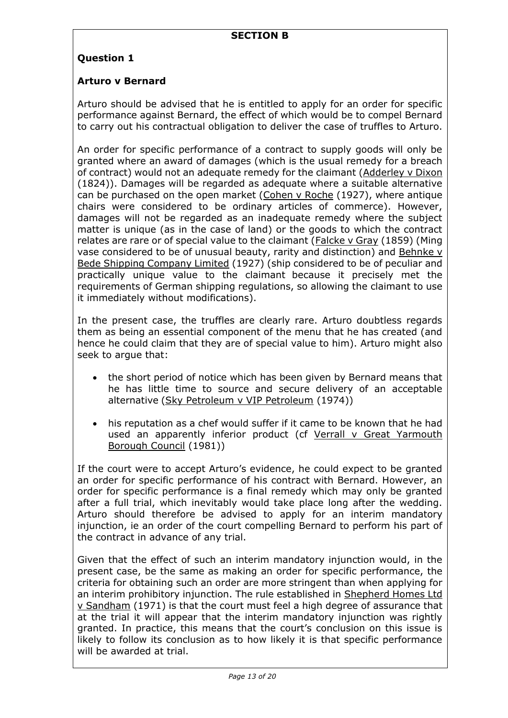## **Question 1**

### **Arturo v Bernard**

Arturo should be advised that he is entitled to apply for an order for specific performance against Bernard, the effect of which would be to compel Bernard to carry out his contractual obligation to deliver the case of truffles to Arturo.

An order for specific performance of a contract to supply goods will only be granted where an award of damages (which is the usual remedy for a breach of contract) would not an adequate remedy for the claimant (Adderley v Dixon (1824)). Damages will be regarded as adequate where a suitable alternative can be purchased on the open market (Cohen  $v$  Roche (1927), where antique chairs were considered to be ordinary articles of commerce). However, damages will not be regarded as an inadequate remedy where the subject matter is unique (as in the case of land) or the goods to which the contract relates are rare or of special value to the claimant (Falcke v Gray (1859) (Ming vase considered to be of unusual beauty, rarity and distinction) and Behnke v Bede Shipping Company Limited (1927) (ship considered to be of peculiar and practically unique value to the claimant because it precisely met the requirements of German shipping regulations, so allowing the claimant to use it immediately without modifications).

In the present case, the truffles are clearly rare. Arturo doubtless regards them as being an essential component of the menu that he has created (and hence he could claim that they are of special value to him). Arturo might also seek to argue that:

- the short period of notice which has been given by Bernard means that he has little time to source and secure delivery of an acceptable alternative (Sky Petroleum v VIP Petroleum (1974))
- his reputation as a chef would suffer if it came to be known that he had used an apparently inferior product (cf Verrall v Great Yarmouth Borough Council (1981))

If the court were to accept Arturo's evidence, he could expect to be granted an order for specific performance of his contract with Bernard. However, an order for specific performance is a final remedy which may only be granted after a full trial, which inevitably would take place long after the wedding. Arturo should therefore be advised to apply for an interim mandatory injunction, ie an order of the court compelling Bernard to perform his part of the contract in advance of any trial.

Given that the effect of such an interim mandatory injunction would, in the present case, be the same as making an order for specific performance, the criteria for obtaining such an order are more stringent than when applying for an interim prohibitory injunction. The rule established in Shepherd Homes Ltd v Sandham (1971) is that the court must feel a high degree of assurance that at the trial it will appear that the interim mandatory injunction was rightly granted. In practice, this means that the court's conclusion on this issue is likely to follow its conclusion as to how likely it is that specific performance will be awarded at trial.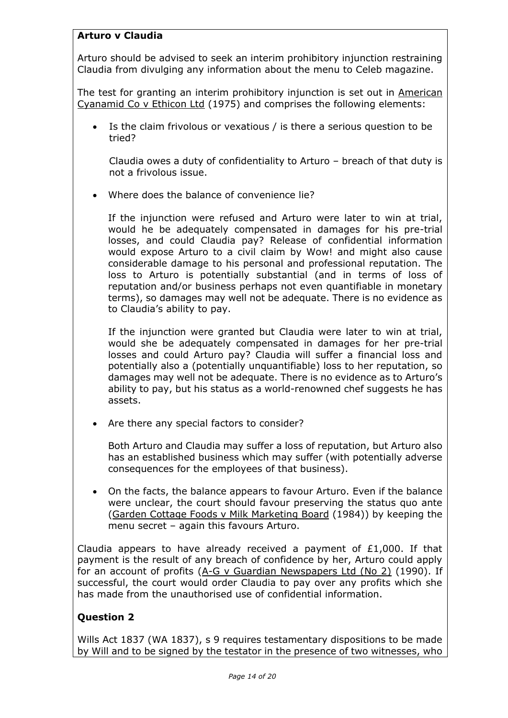## **Arturo v Claudia**

Arturo should be advised to seek an interim prohibitory injunction restraining Claudia from divulging any information about the menu to Celeb magazine.

The test for granting an interim prohibitory injunction is set out in American Cyanamid Co v Ethicon Ltd (1975) and comprises the following elements:

• Is the claim frivolous or vexatious / is there a serious question to be tried?

Claudia owes a duty of confidentiality to Arturo – breach of that duty is not a frivolous issue.

• Where does the balance of convenience lie?

If the injunction were refused and Arturo were later to win at trial, would he be adequately compensated in damages for his pre-trial losses, and could Claudia pay? Release of confidential information would expose Arturo to a civil claim by Wow! and might also cause considerable damage to his personal and professional reputation. The loss to Arturo is potentially substantial (and in terms of loss of reputation and/or business perhaps not even quantifiable in monetary terms), so damages may well not be adequate. There is no evidence as to Claudia's ability to pay.

If the injunction were granted but Claudia were later to win at trial, would she be adequately compensated in damages for her pre-trial losses and could Arturo pay? Claudia will suffer a financial loss and potentially also a (potentially unquantifiable) loss to her reputation, so damages may well not be adequate. There is no evidence as to Arturo's ability to pay, but his status as a world-renowned chef suggests he has assets.

Are there any special factors to consider?

Both Arturo and Claudia may suffer a loss of reputation, but Arturo also has an established business which may suffer (with potentially adverse consequences for the employees of that business).

• On the facts, the balance appears to favour Arturo. Even if the balance were unclear, the court should favour preserving the status quo ante (Garden Cottage Foods v Milk Marketing Board (1984)) by keeping the menu secret – again this favours Arturo.

Claudia appears to have already received a payment of £1,000. If that payment is the result of any breach of confidence by her, Arturo could apply for an account of profits (A-G v Guardian Newspapers Ltd (No 2) (1990). If successful, the court would order Claudia to pay over any profits which she has made from the unauthorised use of confidential information.

## **Question 2**

Wills Act 1837 (WA 1837), s 9 requires testamentary dispositions to be made by Will and to be signed by the testator in the presence of two witnesses, who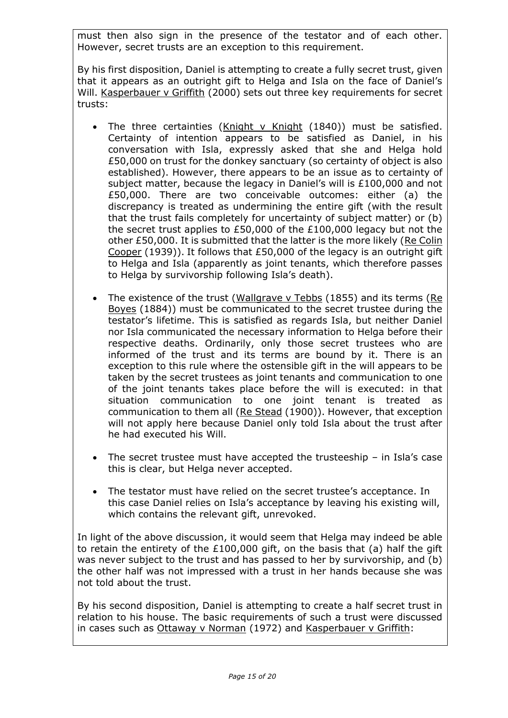must then also sign in the presence of the testator and of each other. However, secret trusts are an exception to this requirement.

By his first disposition, Daniel is attempting to create a fully secret trust, given that it appears as an outright gift to Helga and Isla on the face of Daniel's Will. Kasperbauer v Griffith (2000) sets out three key requirements for secret trusts:

- The three certainties (Knight v Knight (1840)) must be satisfied. Certainty of intention appears to be satisfied as Daniel, in his conversation with Isla, expressly asked that she and Helga hold £50,000 on trust for the donkey sanctuary (so certainty of object is also established). However, there appears to be an issue as to certainty of subject matter, because the legacy in Daniel's will is £100,000 and not £50,000. There are two conceivable outcomes: either (a) the discrepancy is treated as undermining the entire gift (with the result that the trust fails completely for uncertainty of subject matter) or (b) the secret trust applies to £50,000 of the £100,000 legacy but not the other £50,000. It is submitted that the latter is the more likely (Re Colin Cooper (1939)). It follows that £50,000 of the legacy is an outright gift to Helga and Isla (apparently as joint tenants, which therefore passes to Helga by survivorship following Isla's death).
- The existence of the trust (Wallgrave v Tebbs (1855) and its terms (Re Boyes (1884)) must be communicated to the secret trustee during the testator's lifetime. This is satisfied as regards Isla, but neither Daniel nor Isla communicated the necessary information to Helga before their respective deaths. Ordinarily, only those secret trustees who are informed of the trust and its terms are bound by it. There is an exception to this rule where the ostensible gift in the will appears to be taken by the secret trustees as joint tenants and communication to one of the joint tenants takes place before the will is executed: in that situation communication to one joint tenant is treated as communication to them all (Re Stead (1900)). However, that exception will not apply here because Daniel only told Isla about the trust after he had executed his Will.
- The secret trustee must have accepted the trusteeship  $-$  in Isla's case this is clear, but Helga never accepted.
- The testator must have relied on the secret trustee's acceptance. In this case Daniel relies on Isla's acceptance by leaving his existing will, which contains the relevant gift, unrevoked.

In light of the above discussion, it would seem that Helga may indeed be able to retain the entirety of the  $£100,000$  gift, on the basis that (a) half the gift was never subject to the trust and has passed to her by survivorship, and (b) the other half was not impressed with a trust in her hands because she was not told about the trust.

By his second disposition, Daniel is attempting to create a half secret trust in relation to his house. The basic requirements of such a trust were discussed in cases such as Ottaway v Norman (1972) and Kasperbauer v Griffith: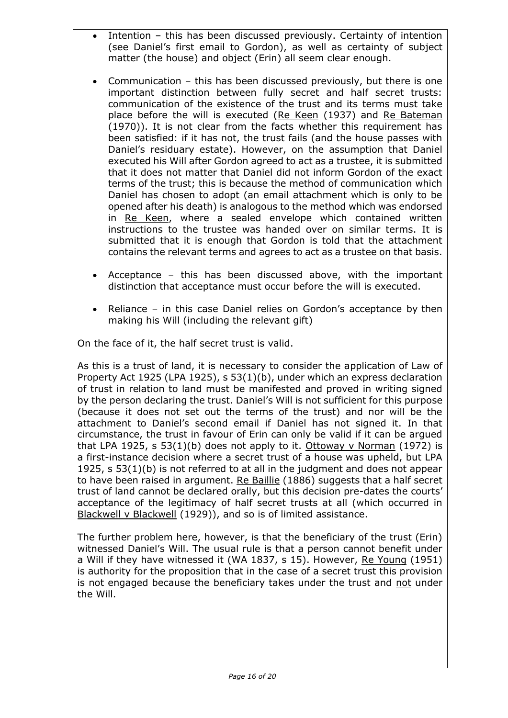- Intention this has been discussed previously. Certainty of intention (see Daniel's first email to Gordon), as well as certainty of subject matter (the house) and object (Erin) all seem clear enough.
- Communication this has been discussed previously, but there is one important distinction between fully secret and half secret trusts: communication of the existence of the trust and its terms must take place before the will is executed (Re Keen (1937) and Re Bateman (1970)). It is not clear from the facts whether this requirement has been satisfied: if it has not, the trust fails (and the house passes with Daniel's residuary estate). However, on the assumption that Daniel executed his Will after Gordon agreed to act as a trustee, it is submitted that it does not matter that Daniel did not inform Gordon of the exact terms of the trust; this is because the method of communication which Daniel has chosen to adopt (an email attachment which is only to be opened after his death) is analogous to the method which was endorsed in Re Keen, where a sealed envelope which contained written instructions to the trustee was handed over on similar terms. It is submitted that it is enough that Gordon is told that the attachment contains the relevant terms and agrees to act as a trustee on that basis.
- Acceptance this has been discussed above, with the important distinction that acceptance must occur before the will is executed.
- Reliance in this case Daniel relies on Gordon's acceptance by then making his Will (including the relevant gift)

On the face of it, the half secret trust is valid.

As this is a trust of land, it is necessary to consider the application of Law of Property Act 1925 (LPA 1925), s 53(1)(b), under which an express declaration of trust in relation to land must be manifested and proved in writing signed by the person declaring the trust. Daniel's Will is not sufficient for this purpose (because it does not set out the terms of the trust) and nor will be the attachment to Daniel's second email if Daniel has not signed it. In that circumstance, the trust in favour of Erin can only be valid if it can be argued that LPA 1925,  $s$  53(1)(b) does not apply to it. Ottoway v Norman (1972) is a first-instance decision where a secret trust of a house was upheld, but LPA 1925, s 53(1)(b) is not referred to at all in the judgment and does not appear to have been raised in argument. Re Baillie (1886) suggests that a half secret trust of land cannot be declared orally, but this decision pre-dates the courts' acceptance of the legitimacy of half secret trusts at all (which occurred in Blackwell v Blackwell (1929)), and so is of limited assistance.

The further problem here, however, is that the beneficiary of the trust (Erin) witnessed Daniel's Will. The usual rule is that a person cannot benefit under a Will if they have witnessed it (WA 1837, s 15). However, Re Young (1951) is authority for the proposition that in the case of a secret trust this provision is not engaged because the beneficiary takes under the trust and not under the Will.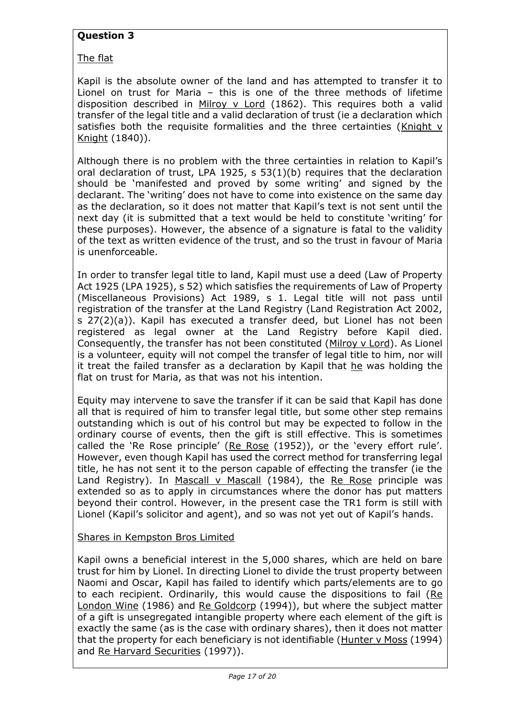## **Question 3**

The flat

Kapil is the absolute owner of the land and has attempted to transfer it to Lionel on trust for Maria – this is one of the three methods of lifetime disposition described in Milroy v Lord (1862). This requires both a valid transfer of the legal title and a valid declaration of trust (ie a declaration which satisfies both the requisite formalities and the three certainties (Knight v Knight (1840)).

Although there is no problem with the three certainties in relation to Kapil's oral declaration of trust, LPA 1925, s 53(1)(b) requires that the declaration should be 'manifested and proved by some writing' and signed by the declarant. The 'writing' does not have to come into existence on the same day as the declaration, so it does not matter that Kapil's text is not sent until the next day (it is submitted that a text would be held to constitute 'writing' for these purposes). However, the absence of a signature is fatal to the validity of the text as written evidence of the trust, and so the trust in favour of Maria is unenforceable.

In order to transfer legal title to land, Kapil must use a deed (Law of Property Act 1925 (LPA 1925), s 52) which satisfies the requirements of Law of Property (Miscellaneous Provisions) Act 1989, s 1. Legal title will not pass until registration of the transfer at the Land Registry (Land Registration Act 2002, s 27(2)(a)). Kapil has executed a transfer deed, but Lionel has not been registered as legal owner at the Land Registry before Kapil died. Consequently, the transfer has not been constituted (Milroy v Lord). As Lionel is a volunteer, equity will not compel the transfer of legal title to him, nor will it treat the failed transfer as a declaration by Kapil that he was holding the flat on trust for Maria, as that was not his intention.

Equity may intervene to save the transfer if it can be said that Kapil has done all that is required of him to transfer legal title, but some other step remains outstanding which is out of his control but may be expected to follow in the ordinary course of events, then the gift is still effective. This is sometimes called the 'Re Rose principle' (Re Rose (1952)), or the 'every effort rule'. However, even though Kapil has used the correct method for transferring legal title, he has not sent it to the person capable of effecting the transfer (ie the Land Registry). In Mascall v Mascall (1984), the Re Rose principle was extended so as to apply in circumstances where the donor has put matters beyond their control. However, in the present case the TR1 form is still with Lionel (Kapil's solicitor and agent), and so was not yet out of Kapil's hands.

#### Shares in Kempston Bros Limited

Kapil owns a beneficial interest in the 5,000 shares, which are held on bare trust for him by Lionel. In directing Lionel to divide the trust property between Naomi and Oscar, Kapil has failed to identify which parts/elements are to go to each recipient. Ordinarily, this would cause the dispositions to fail (Re London Wine (1986) and Re Goldcorp (1994)), but where the subject matter of a gift is unsegregated intangible property where each element of the gift is exactly the same (as is the case with ordinary shares), then it does not matter that the property for each beneficiary is not identifiable (Hunter v Moss (1994) and Re Harvard Securities (1997)).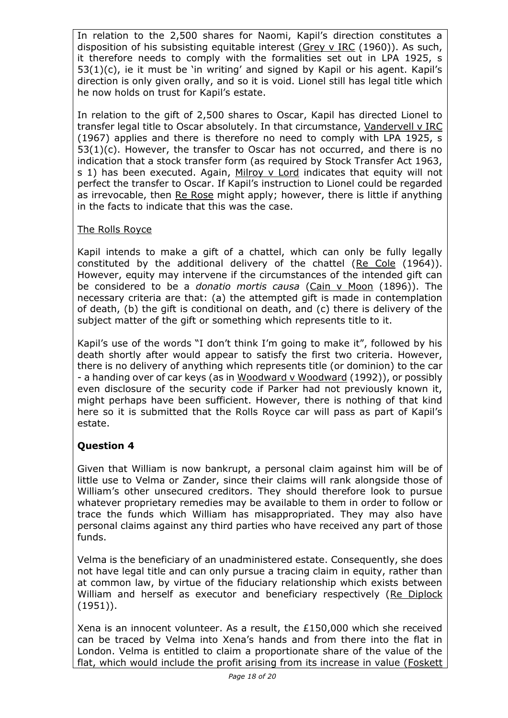In relation to the 2,500 shares for Naomi, Kapil's direction constitutes a disposition of his subsisting equitable interest (Grey v IRC (1960)). As such, it therefore needs to comply with the formalities set out in LPA 1925, s 53(1)(c), ie it must be 'in writing' and signed by Kapil or his agent. Kapil's direction is only given orally, and so it is void. Lionel still has legal title which he now holds on trust for Kapil's estate.

In relation to the gift of 2,500 shares to Oscar, Kapil has directed Lionel to transfer legal title to Oscar absolutely. In that circumstance, Vandervell v IRC (1967) applies and there is therefore no need to comply with LPA 1925, s  $53(1)(c)$ . However, the transfer to Oscar has not occurred, and there is no indication that a stock transfer form (as required by Stock Transfer Act 1963, s 1) has been executed. Again, Milroy v Lord indicates that equity will not perfect the transfer to Oscar. If Kapil's instruction to Lionel could be regarded as irrevocable, then Re Rose might apply; however, there is little if anything in the facts to indicate that this was the case.

## The Rolls Royce

Kapil intends to make a gift of a chattel, which can only be fully legally constituted by the additional delivery of the chattel (Re Cole (1964)). However, equity may intervene if the circumstances of the intended gift can be considered to be a *donatio mortis causa* (Cain v Moon (1896)). The necessary criteria are that: (a) the attempted gift is made in contemplation of death, (b) the gift is conditional on death, and (c) there is delivery of the subject matter of the gift or something which represents title to it.

Kapil's use of the words "I don't think I'm going to make it", followed by his death shortly after would appear to satisfy the first two criteria. However, there is no delivery of anything which represents title (or dominion) to the car - a handing over of car keys (as in Woodward v Woodward (1992)), or possibly even disclosure of the security code if Parker had not previously known it, might perhaps have been sufficient. However, there is nothing of that kind here so it is submitted that the Rolls Royce car will pass as part of Kapil's estate.

## **Question 4**

Given that William is now bankrupt, a personal claim against him will be of little use to Velma or Zander, since their claims will rank alongside those of William's other unsecured creditors. They should therefore look to pursue whatever proprietary remedies may be available to them in order to follow or trace the funds which William has misappropriated. They may also have personal claims against any third parties who have received any part of those funds.

Velma is the beneficiary of an unadministered estate. Consequently, she does not have legal title and can only pursue a tracing claim in equity, rather than at common law, by virtue of the fiduciary relationship which exists between William and herself as executor and beneficiary respectively (Re Diplock (1951)).

Xena is an innocent volunteer. As a result, the £150,000 which she received can be traced by Velma into Xena's hands and from there into the flat in London. Velma is entitled to claim a proportionate share of the value of the flat, which would include the profit arising from its increase in value (Foskett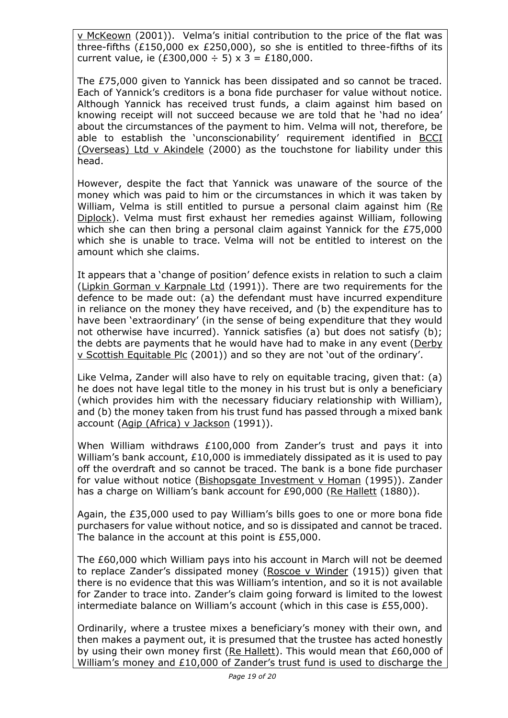v McKeown (2001)). Velma's initial contribution to the price of the flat was three-fifths (£150,000 ex £250,000), so she is entitled to three-fifths of its current value, ie (£300,000 ÷ 5) x 3 = £180,000.

The £75,000 given to Yannick has been dissipated and so cannot be traced. Each of Yannick's creditors is a bona fide purchaser for value without notice. Although Yannick has received trust funds, a claim against him based on knowing receipt will not succeed because we are told that he 'had no idea' about the circumstances of the payment to him. Velma will not, therefore, be able to establish the 'unconscionability' requirement identified in **BCCI** (Overseas) Ltd v Akindele (2000) as the touchstone for liability under this head.

However, despite the fact that Yannick was unaware of the source of the money which was paid to him or the circumstances in which it was taken by William, Velma is still entitled to pursue a personal claim against him (Re Diplock). Velma must first exhaust her remedies against William, following which she can then bring a personal claim against Yannick for the £75,000 which she is unable to trace. Velma will not be entitled to interest on the amount which she claims.

It appears that a 'change of position' defence exists in relation to such a claim (Lipkin Gorman v Karpnale Ltd (1991)). There are two requirements for the defence to be made out: (a) the defendant must have incurred expenditure in reliance on the money they have received, and (b) the expenditure has to have been 'extraordinary' (in the sense of being expenditure that they would not otherwise have incurred). Yannick satisfies (a) but does not satisfy (b); the debts are payments that he would have had to make in any event (Derby v Scottish Equitable Plc (2001)) and so they are not 'out of the ordinary'.

Like Velma, Zander will also have to rely on equitable tracing, given that: (a) he does not have legal title to the money in his trust but is only a beneficiary (which provides him with the necessary fiduciary relationship with William), and (b) the money taken from his trust fund has passed through a mixed bank account (Agip (Africa) v Jackson (1991)).

When William withdraws £100,000 from Zander's trust and pays it into William's bank account, £10,000 is immediately dissipated as it is used to pay off the overdraft and so cannot be traced. The bank is a bone fide purchaser for value without notice (Bishopsgate Investment v Homan (1995)). Zander has a charge on William's bank account for £90,000 (Re Hallett (1880)).

Again, the £35,000 used to pay William's bills goes to one or more bona fide purchasers for value without notice, and so is dissipated and cannot be traced. The balance in the account at this point is £55,000.

The £60,000 which William pays into his account in March will not be deemed to replace Zander's dissipated money (Roscoe v Winder (1915)) given that there is no evidence that this was William's intention, and so it is not available for Zander to trace into. Zander's claim going forward is limited to the lowest intermediate balance on William's account (which in this case is £55,000).

Ordinarily, where a trustee mixes a beneficiary's money with their own, and then makes a payment out, it is presumed that the trustee has acted honestly by using their own money first (Re Hallett). This would mean that £60,000 of William's money and £10,000 of Zander's trust fund is used to discharge the